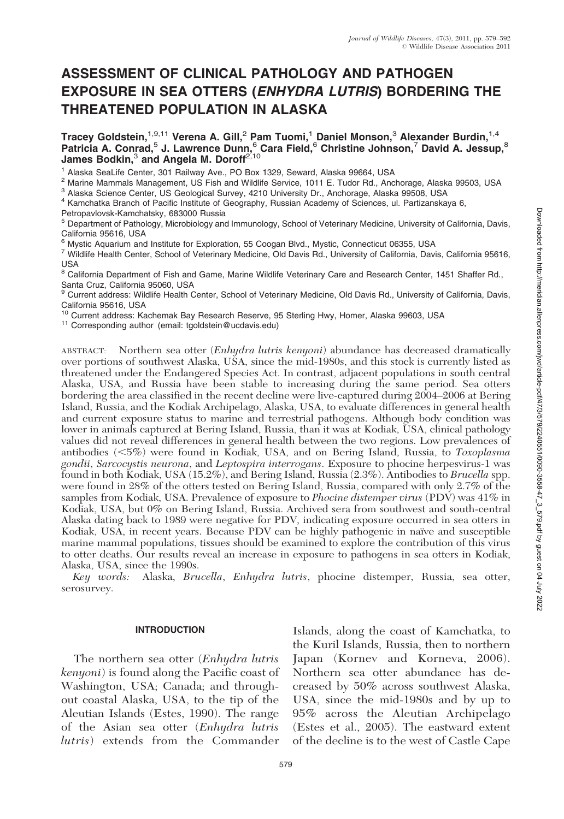# ASSESSMENT OF CLINICAL PATHOLOGY AND PATHOGEN EXPOSURE IN SEA OTTERS (ENHYDRA LUTRIS) BORDERING THE THREATENED POPULATION IN ALASKA

Tracey Goldstein, $^{1,9,11}$  Verena A. Gill, $^2$  Pam Tuomi, $^1$  Daniel Monson, $^3$  Alexander Burdin, $^{1,4}$ Patricia A. Conrad,<sup>5</sup> J. Lawrence Dunn,<sup>6</sup> Cara Field,<sup>6</sup> Christine Johnson,<sup>7</sup> David A. Jessup,<sup>8</sup> James Bodkin, $^3$  and Angela M. Doroff $^{2,10}$ 

<sup>1</sup> Alaska SeaLife Center, 301 Railway Ave., PO Box 1329, Seward, Alaska 99664, USA<br><sup>2</sup> Marine Mammals Management, US Fish and Wildlife Service, 1011 E. Tudor Rd., Anchorage, Alaska 99503, USA<br><sup>3</sup> Alaska Science Center, US

Petropavlovsk-Kamchatsky, 683000 Russia

<sup>5</sup> Department of Pathology, Microbiology and Immunology, School of Veterinary Medicine, University of California, Davis,

California 95616, USA<br><sup>6</sup> Mystic Aquarium and Institute for Exploration, 55 Coogan Blvd., Mystic, Connecticut 06355, USA

7 Wildlife Health Center, School of Veterinary Medicine, Old Davis Rd., University of California, Davis, California 95616, USA

<sup>8</sup> California Department of Fish and Game, Marine Wildlife Veterinary Care and Research Center, 1451 Shaffer Rd., Santa Cruz, California 95060, USA

<sup>9</sup> Current address: Wildlife Health Center, School of Veterinary Medicine, Old Davis Rd., University of California, Davis, California 95616, USA

<sup>10</sup> Current address: Kachemak Bay Research Reserve, 95 Sterling Hwy, Homer, Alaska 99603, USA<br><sup>11</sup> Corresponding author (email: tgoldstein@ucdavis.edu)

ABSTRACT: Northern sea otter (*Enhydra lutris kenyoni*) abundance has decreased dramatically over portions of southwest Alaska, USA, since the mid-1980s, and this stock is currently listed as threatened under the Endangered Species Act. In contrast, adjacent populations in south central Alaska, USA, and Russia have been stable to increasing during the same period. Sea otters bordering the area classified in the recent decline were live-captured during 2004–2006 at Bering Island, Russia, and the Kodiak Archipelago, Alaska, USA, to evaluate differences in general health and current exposure status to marine and terrestrial pathogens. Although body condition was lower in animals captured at Bering Island, Russia, than it was at Kodiak, USA, clinical pathology values did not reveal differences in general health between the two regions. Low prevalences of antibodies  $(<5\%)$  were found in Kodiak, USA, and on Bering Island, Russia, to Toxoplasma gondii, Sarcocystis neurona, and Leptospira interrogans. Exposure to phocine herpesvirus-1 was found in both Kodiak, USA (15.2%), and Bering Island, Russia (2.3%). Antibodies to Brucella spp. were found in 28% of the otters tested on Bering Island, Russia, compared with only 2.7% of the samples from Kodiak, USA. Prevalence of exposure to Phocine distemper virus (PDV) was 41% in Kodiak, USA, but 0% on Bering Island, Russia. Archived sera from southwest and south-central Alaska dating back to 1989 were negative for PDV, indicating exposure occurred in sea otters in Kodiak, USA, in recent years. Because PDV can be highly pathogenic in naïve and susceptible marine mammal populations, tissues should be examined to explore the contribution of this virus to otter deaths. Our results reveal an increase in exposure to pathogens in sea otters in Kodiak, Alaska, USA, since the 1990s.

Key words: Alaska, Brucella, Enhydra lutris, phocine distemper, Russia, sea otter, serosurvey.

# INTRODUCTION

The northern sea otter (Enhydra lutris kenyoni) is found along the Pacific coast of Washington, USA; Canada; and throughout coastal Alaska, USA, to the tip of the Aleutian Islands (Estes, 1990). The range of the Asian sea otter (Enhydra lutris lutris) extends from the Commander

Islands, along the coast of Kamchatka, to the Kuril Islands, Russia, then to northern Japan (Kornev and Korneva, 2006). Northern sea otter abundance has decreased by 50% across southwest Alaska, USA, since the mid-1980s and by up to 95% across the Aleutian Archipelago (Estes et al., 2005). The eastward extent of the decline is to the west of Castle Cape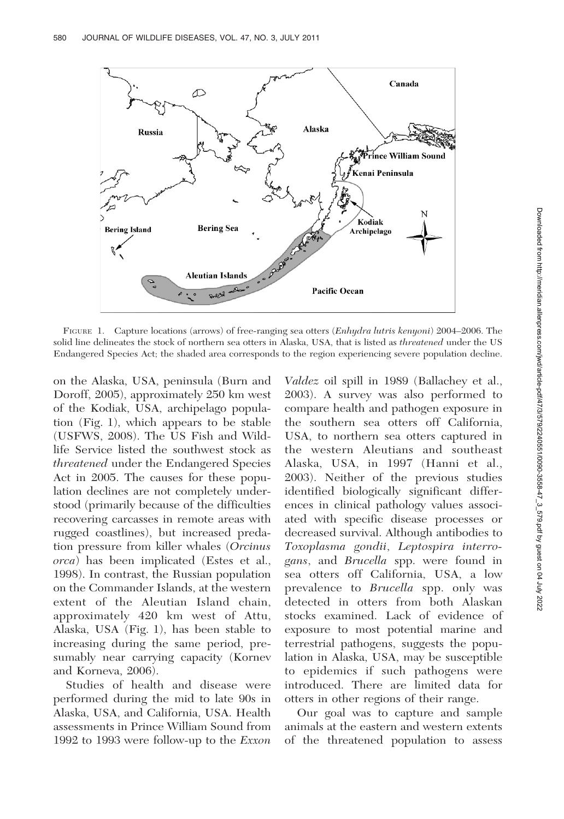

FIGURE 1. Capture locations (arrows) of free-ranging sea otters (Enhydra lutris kenyoni) 2004–2006. The solid line delineates the stock of northern sea otters in Alaska, USA, that is listed as threatened under the US Endangered Species Act; the shaded area corresponds to the region experiencing severe population decline.

on the Alaska, USA, peninsula (Burn and Doroff, 2005), approximately 250 km west of the Kodiak, USA, archipelago population (Fig. 1), which appears to be stable (USFWS, 2008). The US Fish and Wildlife Service listed the southwest stock as threatened under the Endangered Species Act in 2005. The causes for these population declines are not completely understood (primarily because of the difficulties recovering carcasses in remote areas with rugged coastlines), but increased predation pressure from killer whales (Orcinus orca) has been implicated (Estes et al., 1998). In contrast, the Russian population on the Commander Islands, at the western extent of the Aleutian Island chain, approximately 420 km west of Attu, Alaska, USA (Fig. 1), has been stable to increasing during the same period, presumably near carrying capacity (Kornev and Korneva, 2006).

Studies of health and disease were performed during the mid to late 90s in Alaska, USA, and California, USA. Health assessments in Prince William Sound from 1992 to 1993 were follow-up to the Exxon

Valdez oil spill in 1989 (Ballachey et al., 2003). A survey was also performed to compare health and pathogen exposure in the southern sea otters off California, USA, to northern sea otters captured in the western Aleutians and southeast Alaska, USA, in 1997 (Hanni et al., 2003). Neither of the previous studies identified biologically significant differences in clinical pathology values associated with specific disease processes or decreased survival. Although antibodies to Toxoplasma gondii, Leptospira interrogans, and Brucella spp. were found in sea otters off California, USA, a low prevalence to Brucella spp. only was detected in otters from both Alaskan stocks examined. Lack of evidence of exposure to most potential marine and terrestrial pathogens, suggests the population in Alaska, USA, may be susceptible to epidemics if such pathogens were introduced. There are limited data for otters in other regions of their range.

Our goal was to capture and sample animals at the eastern and western extents of the threatened population to assess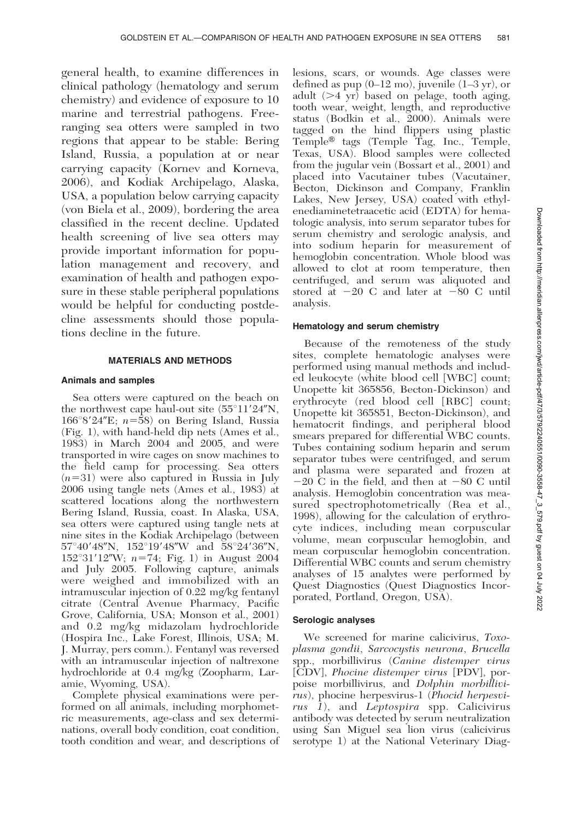general health, to examine differences in clinical pathology (hematology and serum chemistry) and evidence of exposure to 10 marine and terrestrial pathogens. Freeranging sea otters were sampled in two regions that appear to be stable: Bering Island, Russia, a population at or near carrying capacity (Kornev and Korneva, 2006), and Kodiak Archipelago, Alaska, USA, a population below carrying capacity (von Biela et al., 2009), bordering the area classified in the recent decline. Updated health screening of live sea otters may provide important information for population management and recovery, and examination of health and pathogen exposure in these stable peripheral populations would be helpful for conducting postdecline assessments should those populations decline in the future.

#### MATERIALS AND METHODS

#### Animals and samples

Sea otters were captured on the beach on the northwest cape haul-out site  $(55^{\circ}11'24''N,$  $166°8'24"E$ ;  $n=58$ ) on Bering Island, Russia (Fig. 1), with hand-held dip nets (Ames et al., 1983) in March 2004 and 2005, and were transported in wire cages on snow machines to the field camp for processing. Sea otters  $(n=31)$  were also captured in Russia in July 2006 using tangle nets (Ames et al., 1983) at scattered locations along the northwestern Bering Island, Russia, coast. In Alaska, USA, sea otters were captured using tangle nets at nine sites in the Kodiak Archipelago (between  $57^{\circ}40'48''$ N,  $152^{\circ}19'48''$ W and  $58^{\circ}24'36''$ N,  $152^{\circ}31'12''W$ ;  $n=74$ ; Fig. 1) in August 2004 and July 2005. Following capture, animals were weighed and immobilized with an intramuscular injection of 0.22 mg/kg fentanyl citrate (Central Avenue Pharmacy, Pacific Grove, California, USA; Monson et al., 2001) and 0.2 mg/kg midazolam hydrochloride (Hospira Inc., Lake Forest, Illinois, USA; M. J. Murray, pers comm.). Fentanyl was reversed with an intramuscular injection of naltrexone hydrochloride at 0.4 mg/kg (Zoopharm, Laramie, Wyoming, USA).

Complete physical examinations were performed on all animals, including morphometric measurements, age-class and sex determinations, overall body condition, coat condition, tooth condition and wear, and descriptions of

lesions, scars, or wounds. Age classes were defined as pup (0–12 mo), juvenile (1–3 yr), or adult  $(>4 \text{ yr})$  based on pelage, tooth aging, tooth wear, weight, length, and reproductive status (Bodkin et al., 2000). Animals were tagged on the hind flippers using plastic  $Temple<sup>®</sup>$  tags (Temple Tag, Inc., Temple, Texas, USA). Blood samples were collected from the jugular vein (Bossart et al., 2001) and placed into Vacutainer tubes (Vacutainer, Becton, Dickinson and Company, Franklin Lakes, New Jersey, USA) coated with ethylenediaminetetraacetic acid (EDTA) for hematologic analysis, into serum separator tubes for serum chemistry and serologic analysis, and into sodium heparin for measurement of hemoglobin concentration. Whole blood was allowed to clot at room temperature, then centrifuged, and serum was aliquoted and stored at  $-20$  C and later at  $-80$  C until analysis.

## Hematology and serum chemistry

Because of the remoteness of the study sites, complete hematologic analyses were performed using manual methods and included leukocyte (white blood cell [WBC] count; Unopette kit 365856, Becton-Dickinson) and erythrocyte (red blood cell [RBC] count; Unopette kit 365851, Becton-Dickinson), and hematocrit findings, and peripheral blood smears prepared for differential WBC counts. Tubes containing sodium heparin and serum separator tubes were centrifuged, and serum and plasma were separated and frozen at  $-20$  C in the field, and then at  $-80$  C until analysis. Hemoglobin concentration was measured spectrophotometrically (Rea et al., 1998), allowing for the calculation of erythrocyte indices, including mean corpuscular volume, mean corpuscular hemoglobin, and mean corpuscular hemoglobin concentration. Differential WBC counts and serum chemistry analyses of 15 analytes were performed by Quest Diagnostics (Quest Diagnostics Incorporated, Portland, Oregon, USA).

#### Serologic analyses

We screened for marine calicivirus, Toxoplasma gondii, Sarcocystis neurona, Brucella spp., morbillivirus (Canine distemper virus [CDV], Phocine distemper virus [PDV], porpoise morbillivirus, and Dolphin morbillivirus), phocine herpesvirus-1 (Phocid herpesvirus 1), and Leptospira spp. Calicivirus antibody was detected by serum neutralization using San Miguel sea lion virus (calicivirus serotype 1) at the National Veterinary Diag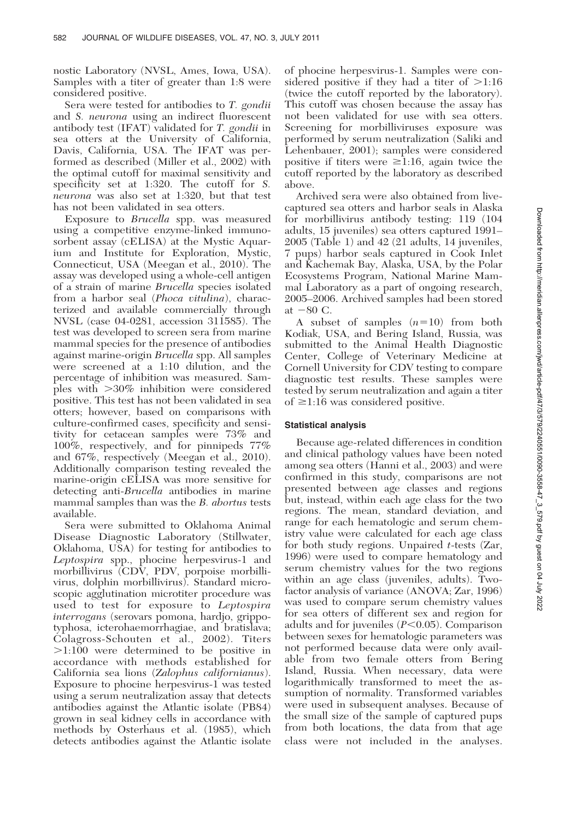nostic Laboratory (NVSL, Ames, Iowa, USA). Samples with a titer of greater than 1:8 were considered positive.

Sera were tested for antibodies to T. gondii and S. neurona using an indirect fluorescent antibody test (IFAT) validated for T. gondii in sea otters at the University of California, Davis, California, USA. The IFAT was performed as described (Miller et al., 2002) with the optimal cutoff for maximal sensitivity and specificity set at 1:320. The cutoff for S. neurona was also set at 1:320, but that test has not been validated in sea otters.

Exposure to Brucella spp. was measured using a competitive enzyme-linked immunosorbent assay (cELISA) at the Mystic Aquarium and Institute for Exploration, Mystic, Connecticut, USA (Meegan et al., 2010). The assay was developed using a whole-cell antigen of a strain of marine Brucella species isolated from a harbor seal (Phoca vitulina), characterized and available commercially through NVSL (case 04-0281, accession 311585). The test was developed to screen sera from marine mammal species for the presence of antibodies against marine-origin Brucella spp. All samples were screened at a 1:10 dilution, and the percentage of inhibition was measured. Samples with  $>30\%$  inhibition were considered positive. This test has not been validated in sea otters; however, based on comparisons with culture-confirmed cases, specificity and sensitivity for cetacean samples were 73% and 100%, respectively, and for pinnipeds 77% and 67%, respectively (Meegan et al., 2010). Additionally comparison testing revealed the marine-origin cELISA was more sensitive for detecting anti-*Brucella* antibodies in marine mammal samples than was the B. abortus tests available.

Sera were submitted to Oklahoma Animal Disease Diagnostic Laboratory (Stillwater, Oklahoma, USA) for testing for antibodies to Leptospira spp., phocine herpesvirus-1 and morbillivirus (CDV, PDV, porpoise morbillivirus, dolphin morbillivirus). Standard microscopic agglutination microtiter procedure was used to test for exposure to Leptospira interrogans (serovars pomona, hardjo, grippotyphosa, icterohaemorrhagiae, and bratislava; Colagross-Schouten et al., 2002). Titers  $>1:100$  were determined to be positive in accordance with methods established for California sea lions (Zalophus californianus). Exposure to phocine herpesvirus-1 was tested using a serum neutralization assay that detects antibodies against the Atlantic isolate (PB84) grown in seal kidney cells in accordance with methods by Osterhaus et al. (1985), which detects antibodies against the Atlantic isolate

of phocine herpesvirus-1. Samples were considered positive if they had a titer of  $>1:16$ (twice the cutoff reported by the laboratory). This cutoff was chosen because the assay has not been validated for use with sea otters. Screening for morbilliviruses exposure was performed by serum neutralization (Saliki and Lehenbauer, 2001); samples were considered positive if titers were  $\geq 1:16$ , again twice the cutoff reported by the laboratory as described above.

Archived sera were also obtained from livecaptured sea otters and harbor seals in Alaska for morbillivirus antibody testing: 119 (104 adults, 15 juveniles) sea otters captured 1991– 2005 (Table 1) and 42 (21 adults, 14 juveniles, 7 pups) harbor seals captured in Cook Inlet and Kachemak Bay, Alaska, USA, by the Polar Ecosystems Program, National Marine Mammal Laboratory as a part of ongoing research, 2005–2006. Archived samples had been stored at  $-80$  C.

A subset of samples  $(n=10)$  from both Kodiak, USA, and Bering Island, Russia, was submitted to the Animal Health Diagnostic Center, College of Veterinary Medicine at Cornell University for CDV testing to compare diagnostic test results. These samples were tested by serum neutralization and again a titer of  $\geq$ 1:16 was considered positive.

# Statistical analysis

Because age-related differences in condition and clinical pathology values have been noted among sea otters (Hanni et al., 2003) and were confirmed in this study, comparisons are not presented between age classes and regions but, instead, within each age class for the two regions. The mean, standard deviation, and range for each hematologic and serum chemistry value were calculated for each age class for both study regions. Unpaired t-tests (Zar, 1996) were used to compare hematology and serum chemistry values for the two regions within an age class (juveniles, adults). Twofactor analysis of variance (ANOVA; Zar, 1996) was used to compare serum chemistry values for sea otters of different sex and region for adults and for juveniles  $(P<0.05)$ . Comparison between sexes for hematologic parameters was not performed because data were only available from two female otters from Bering Island, Russia. When necessary, data were logarithmically transformed to meet the assumption of normality. Transformed variables were used in subsequent analyses. Because of the small size of the sample of captured pups from both locations, the data from that age class were not included in the analyses.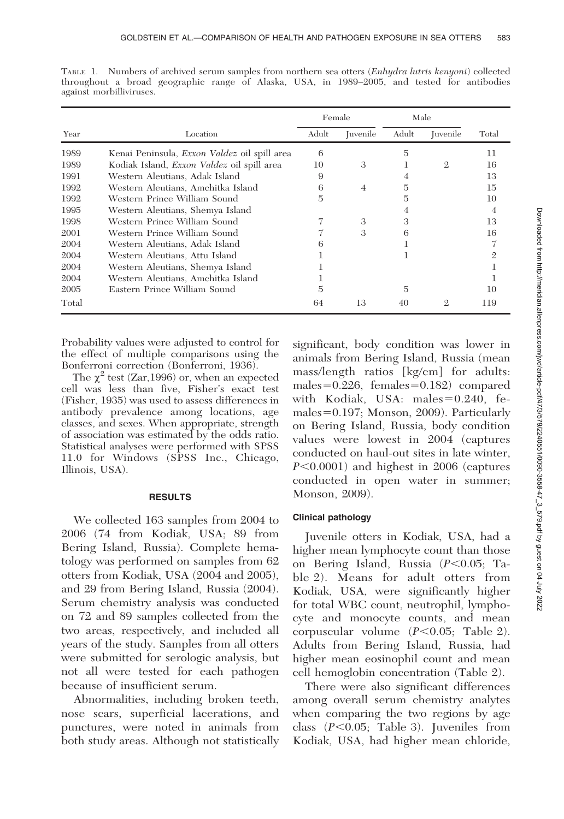|       |                                                     | Female |                        |       | Male             |       |
|-------|-----------------------------------------------------|--------|------------------------|-------|------------------|-------|
| Year  | Location                                            | Adult  | <i><u>Iuvenile</u></i> | Adult | <i>I</i> uvenile | Total |
| 1989  | Kenai Peninsula, <i>Exxon Valdez</i> oil spill area | 6      |                        | 5     |                  | 11    |
| 1989  | Kodiak Island, <i>Exxon Valdez</i> oil spill area   | 10     | 3                      |       | $\mathbf{2}$     | 16    |
| 1991  | Western Aleutians, Adak Island                      | 9      |                        | 4     |                  | 13    |
| 1992  | Western Aleutians, Amchitka Island                  | 6      | $\overline{4}$         | 5     |                  | 15    |
| 1992  | Western Prince William Sound                        | 5      |                        | 5     |                  | 10    |
| 1995  | Western Aleutians, Shemya Island                    |        |                        |       |                  | 4     |
| 1998  | Western Prince William Sound                        |        | 3                      | З     |                  | 13    |
| 2001  | Western Prince William Sound                        |        | 3                      | 6     |                  | 16    |
| 2004  | Western Aleutians, Adak Island                      | 6      |                        |       |                  |       |
| 2004  | Western Aleutians, Attu Island                      |        |                        |       |                  |       |
| 2004  | Western Aleutians, Shemya Island                    |        |                        |       |                  |       |
| 2004  | Western Aleutians, Amchitka Island                  |        |                        |       |                  |       |
| 2005  | Eastern Prince William Sound                        | 5      |                        | 5     |                  | 10    |
| Total |                                                     | 64     | 13                     | 40    | 2                | 119   |

TABLE 1. Numbers of archived serum samples from northern sea otters (Enhydra lutris kenyoni) collected throughout a broad geographic range of Alaska, USA, in 1989–2005, and tested for antibodies against morbilliviruses.

Probability values were adjusted to control for the effect of multiple comparisons using the Bonferroni correction (Bonferroni, 1936).

The  $\chi^2$  test (Zar, 1996) or, when an expected cell was less than five, Fisher's exact test (Fisher, 1935) was used to assess differences in antibody prevalence among locations, age classes, and sexes. When appropriate, strength of association was estimated by the odds ratio. Statistical analyses were performed with SPSS 11.0 for Windows (SPSS Inc., Chicago, Illinois, USA).

# RESULTS

We collected 163 samples from 2004 to 2006 (74 from Kodiak, USA; 89 from Bering Island, Russia). Complete hematology was performed on samples from 62 otters from Kodiak, USA (2004 and 2005), and 29 from Bering Island, Russia (2004). Serum chemistry analysis was conducted on 72 and 89 samples collected from the two areas, respectively, and included all years of the study. Samples from all otters were submitted for serologic analysis, but not all were tested for each pathogen because of insufficient serum.

Abnormalities, including broken teeth, nose scars, superficial lacerations, and punctures, were noted in animals from both study areas. Although not statistically

significant, body condition was lower in animals from Bering Island, Russia (mean mass/length ratios [kg/cm] for adults: males= $0.226$ , females= $0.182$ ) compared with Kodiak, USA: males=0.240, females $=0.197$ ; Monson, 2009). Particularly on Bering Island, Russia, body condition values were lowest in 2004 (captures conducted on haul-out sites in late winter,  $P<0.0001$ ) and highest in 2006 (captures conducted in open water in summer; Monson, 2009).

# Clinical pathology

Juvenile otters in Kodiak, USA, had a higher mean lymphocyte count than those on Bering Island, Russia  $(P<0.05;$  Table 2). Means for adult otters from Kodiak, USA, were significantly higher for total WBC count, neutrophil, lymphocyte and monocyte counts, and mean corpuscular volume  $(P<0.05;$  Table 2). Adults from Bering Island, Russia, had higher mean eosinophil count and mean cell hemoglobin concentration (Table 2).

There were also significant differences among overall serum chemistry analytes when comparing the two regions by age class  $(P<0.05;$  Table 3). Juveniles from Kodiak, USA, had higher mean chloride,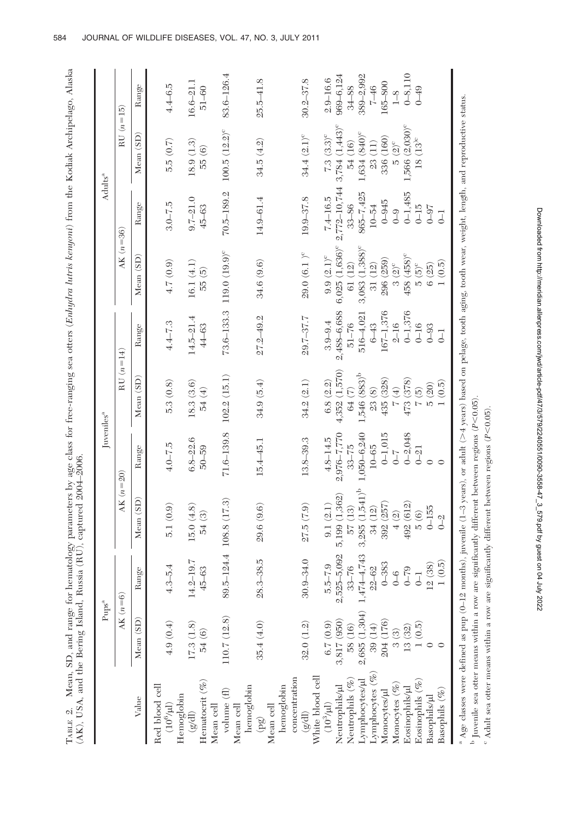| i                                    |                                                                                                                                                                                                                                           |
|--------------------------------------|-------------------------------------------------------------------------------------------------------------------------------------------------------------------------------------------------------------------------------------------|
| į                                    | í                                                                                                                                                                                                                                         |
|                                      |                                                                                                                                                                                                                                           |
|                                      |                                                                                                                                                                                                                                           |
|                                      |                                                                                                                                                                                                                                           |
|                                      |                                                                                                                                                                                                                                           |
| ļ                                    |                                                                                                                                                                                                                                           |
| i<br>China                           |                                                                                                                                                                                                                                           |
|                                      |                                                                                                                                                                                                                                           |
|                                      |                                                                                                                                                                                                                                           |
|                                      |                                                                                                                                                                                                                                           |
| Ĭ                                    | ļ<br>j                                                                                                                                                                                                                                    |
|                                      | ֖֖֖ׅ֖֖֖֖֖֖֧ׅ֪֪֪ׅ֖֧֚֚֚֚֚֚֚֚֚֚֚֚֚֚֚֚֚֚֚֚֚֚֚֚֬֡֡֡֡֬֝֬֝֓֞֡֡֬֞֩֝                                                                                                                                                                               |
| ł                                    | ĺ<br>ļ                                                                                                                                                                                                                                    |
|                                      | ים בינים ביום בינים בינים בינים בינים בינים בינים בינים בינים בינים בינים בינים בינים בינים בינים בינים בינים<br>תוכנים בינים בינים בינים בינים בינים בינים בינים בינים בינים בינים בינים בינים בינים בינים בינים בינים בינים ב<br>í<br>I |
| and range for her.                   | $\sim$<br>- - - - - - - A                                                                                                                                                                                                                 |
| Mean, SD, and range<br>E             |                                                                                                                                                                                                                                           |
|                                      |                                                                                                                                                                                                                                           |
| 4.ВЫЕ 4.<br>u ta y <sub>u</sub><br>E | $(AK)$ , USA, and the $\overline{\mathbf{L}}$ .                                                                                                                                                                                           |

|                                                                                                                                                                                          | $Pups^a$                                     |                              |                    | Juveniles <sup>a</sup>    |                              |                        |                                | Adults <sup>a</sup>   |                                |                            |
|------------------------------------------------------------------------------------------------------------------------------------------------------------------------------------------|----------------------------------------------|------------------------------|--------------------|---------------------------|------------------------------|------------------------|--------------------------------|-----------------------|--------------------------------|----------------------------|
|                                                                                                                                                                                          | AK $(n=6)$                                   |                              | $AK(n=20)$         |                           | $RU(n=14)$                   |                        | AK $(n=36)$                    |                       | $RU(n=15)$                     |                            |
| Value                                                                                                                                                                                    | Mean (SD)                                    | Range                        | Mean (SD)          | Range                     | Mean (SD)                    | Range                  | Mean (SD)                      | Range                 | Mean (SD)                      | Range                      |
| Red blood cell<br>$(10^6\mbox{/}\mathrm{m})$                                                                                                                                             | 4.9(0.4)                                     | 5.4<br>$4.3-$                | 5.1(0.9)           | $4.0 - 7.5$               | 5.3(0.8)                     | $4.4 - 7.3$            | 4.7 (0.9)                      | $3.0 - 7.5$           | 5.5(0.7)                       | $4.4 - 6.5$                |
| Hemoglobin                                                                                                                                                                               |                                              |                              |                    |                           |                              |                        |                                |                       |                                |                            |
| Hematocrit $(\%)$<br>$(\mathbb{B}\mathbb{A})$                                                                                                                                            | 17.3(1.8)<br>$54(6)$                         | $14.2 - 19.7$<br>$45 - 63$   | 15.0(4.8)<br>54(3) | $6.8 - 22.6$<br>$50 - 59$ | 18.3(3.6)<br>54 (4)          | $14.5 - 21.4$<br>44–63 | 16.1(4.1)<br>55 (5)            | $9.7 - 21.0$<br>45-63 | 18.9 (1.3)<br>55(6)            | $16.6 - 21.1$<br>$51 - 60$ |
| Mean cell                                                                                                                                                                                |                                              |                              |                    |                           |                              |                        |                                |                       |                                |                            |
| volume $(\mathrm{f\hspace{0.25ex}l})$                                                                                                                                                    | 110.7 (12.8)                                 | 89.5-124.4                   | 108.8 (17.3)       | $71.6 - 139.8$            | 102.2(15.1)                  | $73.6 - 133.3$         | 119.0 (19.9)°                  | $70.5 - 189.2$        | $100.5 (12.2)^c$               | 83.6-126.4                 |
| hemoglobin<br>Mean cell                                                                                                                                                                  |                                              |                              |                    |                           |                              |                        |                                |                       |                                |                            |
| $\left( \delta d \right)$                                                                                                                                                                | 35.4(4.0)                                    | $28.3 - 38.5$                | 29.6 (9.6)         | $15.4 - 45.1$             | 34.9(5.4)                    | $27.2 - 49.2$          | 34.6 (9.6)                     | 14.9-61.4             | 34.5(4.2)                      | $25.5 - 41.8$              |
| ${\rm Mean}$ cell                                                                                                                                                                        |                                              |                              |                    |                           |                              |                        |                                |                       |                                |                            |
| concentration<br>hemoglobin                                                                                                                                                              |                                              |                              |                    |                           |                              |                        |                                |                       |                                |                            |
| $(\rm g/dl)$                                                                                                                                                                             | 32.0(1.2)                                    | $30.9 - 34.0$                | 27.5(7.9)          | $13.8 - 39.3$             | 34.2(2.1)                    | 29.7-37.7              | $29.0(6.1)^{\circ}$            | 19.9-37.8             | $34.4 (2.1)^c$                 | 30.2-37.8                  |
| White blood cell $(10^3/\mu l)$                                                                                                                                                          |                                              |                              |                    |                           |                              |                        |                                |                       |                                |                            |
|                                                                                                                                                                                          | 6.7(0.9)                                     | $5.5 - 7.9$                  | 9.1(2.1)           | $4.8 - 14.5$              | 6.8(2.2)                     | $3.9 - 9.4$            | $9.9(2.1)^c$                   | $7.4 - 16.5$          | $7.3 (3.3)^c$                  | $2.9 - 16.6$               |
| ${\rm Neutrophils}/\mu$                                                                                                                                                                  | 3,817 (950)                                  | 2,525-5,092                  | 5,199 (1,362)      | 2,976-7,770               | 4,352 (1,570)                | 2,488-6,688            | $6,025$ $(1,636)$ <sup>c</sup> | 2,772-10,744          | $3,784$ $(1,443)$ <sup>c</sup> | 969-6,124                  |
|                                                                                                                                                                                          | 58 (16)                                      | $33 - 76$                    | 57 (13)            | $33 - 75$                 | 64 (7)                       | $51 - 76$              | 61 (12)                        | $33 - 86$             | 54 (16)                        | $34 - 88$                  |
| Neutrophils $(\mathcal{C}_{\!\!o\!o})$ Lymphocytes ( $\mathcal{C}_{\!\!o\!o}$ )<br>Lymphocytes ( $\mathcal{C}_{\!\!o\!o}$ )                                                              | 2,685 (1,304)                                | $1,474 - 4,743$<br>$22 - 62$ | $3,285(1,541)^b$   | $1,050 - 6,240$           | $1,546$ $(883)^b$            | 516-4,021              | 3,083 (1,388) <sup>c</sup>     | 865-7,425             | 1,634 (840) <sup>c</sup>       | 389-2,992                  |
|                                                                                                                                                                                          | $\frac{39\ (14)}{204\ (176)}$                |                              | 34 (12)            | $10 - 65$                 | 23(8)                        | $6 - 43$               | 31 (12)                        | $10 - 54$             | 23(11)                         | $7 - 46$                   |
| Monocytes/µl                                                                                                                                                                             |                                              | $0 - 383$                    | 392 (257)          | $0 - 1,015$               | 435 (328)                    | 167-1,376              | 296 (259)                      | $0 - 945$             | 336 (160)                      | 165-800                    |
| Monocytes $(\%$                                                                                                                                                                          | 3(3)                                         |                              | 4(2)               | $-7 - 0$                  | $\left( \frac{1}{2} \right)$ | $2 - 16$               | $3(2)^c$                       | $\overline{0}$        | $5(2)^c$                       | $1 - 8$                    |
| Eosinophils/µ                                                                                                                                                                            | 13(32)                                       | $0 - 79$<br>$0 - 79$         | 492 (612)          | $0 - 2,048$               | 473 (378)                    | $0 - 1,376$            | 458 (458) <sup>c</sup>         | $0 - 1,485$           | $1,566$ $(2,030)$ <sup>c</sup> | $0 - 8,110$                |
| $(\mathscr{C})$<br>Eosinophils                                                                                                                                                           | $\begin{array}{c} 1\ (0.5) \\ 0 \end{array}$ |                              | $\frac{5}{6}$      | $0 - 21$                  | $\sqrt{2}$                   | $0 - 16$               | $5(5)^{\circ}$                 | $0 - 15$              | $18~(13)^{\circ}$              | $0 - 49$                   |
| Basophils/µl                                                                                                                                                                             |                                              | 12(38)                       | $0 - 155$          |                           | $5(20)$                      | $0 - 93$               | $6(25)$                        | $0 - 97$              |                                |                            |
| Basophils $(\%)$                                                                                                                                                                         |                                              | (0.5)                        | $0 - 2$            |                           | (0.5)                        | $\overline{J}$         | (0.5)                          | $\overline{J}$        |                                |                            |
| <sup>a</sup> Age classes were defined as pup (0-12 months), juvenile (1-3 years), or adult (>4 years) based on pelage, tooth aging, tooth wear, weight, length, and reproductive status. |                                              |                              |                    |                           |                              |                        |                                |                       |                                |                            |

. ല

 $\mathbb{P}$  Juvenile sea otter means within a row are significantly different between regions (P<0.05).  $^{\circ}$  Adult sea otter means within a row are significantly different between regions (P<0.05).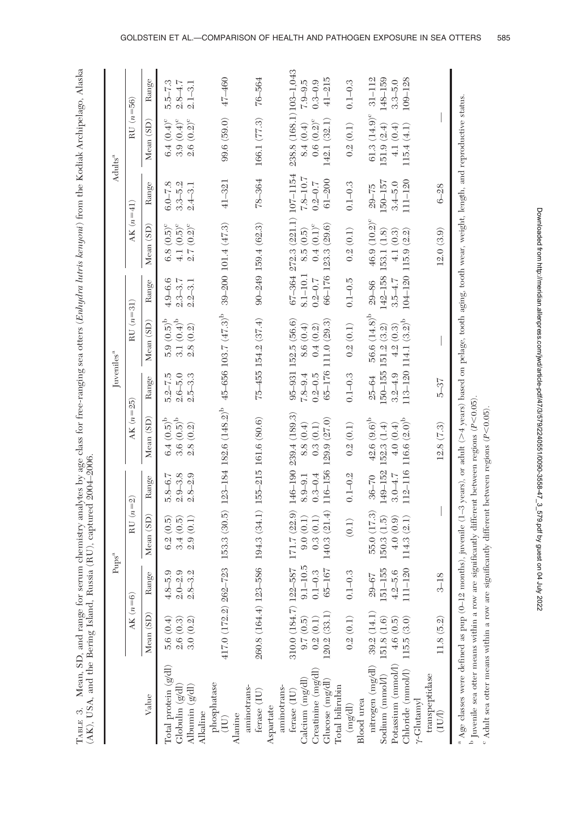| i                                                                                                                                                          |                                                                                                      |
|------------------------------------------------------------------------------------------------------------------------------------------------------------|------------------------------------------------------------------------------------------------------|
| l                                                                                                                                                          | í                                                                                                    |
| י<br>ו                                                                                                                                                     |                                                                                                      |
| l<br>i                                                                                                                                                     |                                                                                                      |
|                                                                                                                                                            | ׇׇ֚֘֝֕                                                                                               |
| J                                                                                                                                                          | $\overline{\phantom{a}}$<br>ć                                                                        |
|                                                                                                                                                            | ļ<br>Í                                                                                               |
| きゅうしょう<br>İ<br>Ş<br>i<br>$\frac{1}{2}$<br>:                                                                                                                | $\frac{1}{2}$<br>ׅ֘<br>i<br>in a control<br>ì<br>I                                                   |
| $\frac{1}{2}$                                                                                                                                              | ֖֧ׅ֧֧ׅ֧֪֪ׅ֦֧֧֪֪ׅ֦֧֧֧֪ׅ֪ׅ֪ׅ֧֚֚֚֚֚֚֚֚֚֚֚֚֚֚֚֚֚֚֚֚֚֚֚֚֚֚֚֚֚֡֘֟֟֓֬֝֝֟֓֝֬֓֝֟֟֓֝֬֝֟֝֬֝֬֝֬֝֟<br>$\sim$<br>J |
| ֦֦֦֦֧֦֦֦֦֧֦֦֧֪֪֦֧֦֧֦֧֧֧֧֧֦֧֦֧֦֧֦֚֚֚֚֚֚֚֚֚֝֘֝֘֝֝֝֓֓֡֝֓֓֓֓֓֓֓֓֓֓֓֓֓֓֓<br>į<br>֧֦֦֦֦֦֧֦֦֦֦֦֦֦֧֦֦֦֦֦֦֦֦֦֦֦֦֦֧֪֦֦֦֚֝֩֩֩֠֝֘֝֝֝֝֝֝֝֝֝֝֝֓֝֓֝֝֓֝֞֝<br>$\frac{1}{2}$ | $\cdots$ . Which is a set of $\cdots$<br>$ C + F$ $\sim$ $K + F$<br>Jamain,                          |
| I                                                                                                                                                          |                                                                                                      |

|                                                                                                                                                                                                                                                                                                                                                                                       |                                                                              | $Pups^a$                   |                                        |                            |                                                                                  | Juveniles <sup>a</sup>     |                                       |                            |                                     |                            | Adults <sup>a</sup>           |                            |
|---------------------------------------------------------------------------------------------------------------------------------------------------------------------------------------------------------------------------------------------------------------------------------------------------------------------------------------------------------------------------------------|------------------------------------------------------------------------------|----------------------------|----------------------------------------|----------------------------|----------------------------------------------------------------------------------|----------------------------|---------------------------------------|----------------------------|-------------------------------------|----------------------------|-------------------------------|----------------------------|
|                                                                                                                                                                                                                                                                                                                                                                                       | $AK(n=6)$                                                                    |                            | $RU(n=2)$                              |                            | $AK(n=25)$                                                                       |                            | $RU(n=31)$                            |                            | $AK(n=41)$                          |                            | $RU(n=56)$                    |                            |
| Value                                                                                                                                                                                                                                                                                                                                                                                 | Mean (SD)                                                                    | Range                      | Mean (SD)                              | Range                      | Mean (SD)                                                                        | Range                      | Mean (SD)                             | Range                      | Mean (SD)                           | Range                      | Mean (SD)                     | Range                      |
| Total protein $(g/dl)$<br>Globulin (g/dl)                                                                                                                                                                                                                                                                                                                                             | $\begin{array}{c} 5.6 \ (0.4) \\ 2.6 \ (0.3) \\ 3.0 \ (0.2) \end{array}$     | $4.8 - 5.9$<br>$2.0 - 2.9$ | (0.5)<br>(0.5)<br>3.4<br>6.2           | $2.9 - 3.8$<br>$5.8 - 6.7$ | $6.4~(0.5)^{\rm b}$<br>$3.6(0.5)^{b}$                                            | $5.2 - 7.5$<br>$2.6 - 5.0$ | $5.9(0.5)^{b}$<br>3.1 $(0.4)^{\rm b}$ | $4.9 - 6.6$<br>$2.3 - 3.7$ | 4.1 $(0.5)^c$<br>$6.8(0.5)^{\circ}$ | $6.0 - 7.8$<br>$3.3 - 5.2$ | $3.9(0.4)^c$<br>6.4 $(0.4)^c$ | $5.5 - 7.3$<br>$2.8 - 4.7$ |
| Albumin $(g/d)$<br>Alkaline                                                                                                                                                                                                                                                                                                                                                           |                                                                              | $2.8 - 3.2$                | 2.9(0.1)                               | $2.8 - 2.9$                | 2.8(0.2)                                                                         | $2.5 - 3.3$                | 2.8(0.2)                              | $2.2 - 3.1$                | $2.7(0.2)^{\circ}$                  | $2.4 - 3.1$                | $2.6(0.2)^c$                  | $2.1 - 3.1$                |
| phosphatase<br>(IU)                                                                                                                                                                                                                                                                                                                                                                   | 417.0 (172.2) 262-723                                                        |                            |                                        |                            | 153.3 (30.5) 123-184 182.6 (148.2) <sup>b</sup> 45-656 103.7 (47.3) <sup>b</sup> |                            |                                       |                            | $39 - 200$ 101.4 (47.3)             | $41 - 321$                 | 99.6(59.0)                    | 47-460                     |
| Alanine                                                                                                                                                                                                                                                                                                                                                                               |                                                                              |                            |                                        |                            |                                                                                  |                            |                                       |                            |                                     |                            |                               |                            |
| aminotrans-<br>ferase (IU)                                                                                                                                                                                                                                                                                                                                                            | 260.8 (164.4) 123-586                                                        |                            | 194.3 (34.1) 155-215 161.6 (80.6)      |                            |                                                                                  |                            | $75 - 455$ $154.2$ $(37.4)$           |                            | $90 - 249$ 159.4 (62.3)             | 78-364                     | 166.1 (77.3)                  | 76-564                     |
| Aspartate                                                                                                                                                                                                                                                                                                                                                                             |                                                                              |                            |                                        |                            |                                                                                  |                            |                                       |                            |                                     |                            |                               |                            |
| aminotrans-                                                                                                                                                                                                                                                                                                                                                                           | 310.0 (184.7) 122-587                                                        |                            | $171.7(22.9)$ $146-190$ $239.4(189.3)$ |                            |                                                                                  |                            | $95 - 931$ 152.5 (56.6)               |                            | $67 - 364$ 272.3 (221.1) 107-1154   |                            | 238.8 (168.1) 103-1,043       |                            |
| Calcium (mg/dl)<br>ferase (IU)                                                                                                                                                                                                                                                                                                                                                        |                                                                              | $9.1 - 10.5$               | 9.0(0.1)                               | $8.9 - 9.1$                | 8.8(0.4)                                                                         | $7.8 - 9.4$                | 8.6(0.4)                              | 8.1-10.1                   | 8.5(0.5)                            | $7.8 - 10.7$               | 8.4(0.4)                      | $7.9 - 9.5$                |
| Creatinine (mg/dl)                                                                                                                                                                                                                                                                                                                                                                    | $\begin{array}{c} 9.7 \ (0.5) \\ 0.2 \ (0.1) \end{array}$                    |                            | 0.3(0.1)                               | $0.3 - 0.4$                | 0.3(0.1)                                                                         | $0.2 - 0.5$                | 0.4(0.2)                              | $0.2 - 0.7$                | $0.4(0.1)^{\circ}$                  | $0.2\text{--}0.7$          | $0.6(0.2)^c$                  | $0.3 - 0.9$                |
| Glucose (mg/dl)                                                                                                                                                                                                                                                                                                                                                                       | 120.2(33.1)                                                                  | $0.1 - 0.3$<br>$65 - 167$  | 140.3(21.4)                            | 116-156                    | 129.9 (27.0)                                                                     |                            | 65-176 111.0 (29.3)                   |                            | $66 - 176$ 123.3 (29.6)             | $61 - 200$                 | 142.1(32.1)                   | $41 - 215$                 |
| Total bilirubin                                                                                                                                                                                                                                                                                                                                                                       |                                                                              |                            |                                        |                            |                                                                                  |                            |                                       |                            |                                     |                            |                               |                            |
| (mgdd)                                                                                                                                                                                                                                                                                                                                                                                | 0.2(0.1)                                                                     | $0.1 - 0.3$                | (0.1)                                  | $0.1 - 0.2$                | 0.2(0.1)                                                                         | $0.1 - 0.3$                | 0.2(0.1)                              | $0.1 - 0.5$                | 0.2(0.1)                            | $0.1 - 0.3$                | 0.2(0.1)                      | $0.1 - 0.3$                |
| <b>Blood</b> urea                                                                                                                                                                                                                                                                                                                                                                     |                                                                              |                            |                                        |                            |                                                                                  |                            |                                       |                            |                                     |                            |                               |                            |
| nitrogen (mg/dl)                                                                                                                                                                                                                                                                                                                                                                      | 39.2(14.1)                                                                   | $29 - 67$                  | 55.0 (17.3)                            | $36 - 70$                  | $42.6 (9.6)^b$                                                                   | $25 - 64$                  | 56.6 $(14.8)^b$                       | $29 - 86$                  | 46.9 (10.2) <sup>c</sup>            | $29 - 75$                  | 61.3 $(14.9)^c$               | $31 - 112$                 |
| Sodium (mmol/l)                                                                                                                                                                                                                                                                                                                                                                       | $\begin{array}{c} 151.8 \ (1.6) \\ 4.6 \ (0.5) \\ 115.5 \ (3.0) \end{array}$ | $151 - 155$                | 150.3 (1.5)                            | 149-152                    | 152.3(1.4)                                                                       |                            | $150 - 155$ $151.2$ $(3.2)$           |                            | $142 - 158$ 153.1 (1.8)             | 150-157                    | 151.9(2.4)                    | 148-159                    |
| Potassium (mmol/l)                                                                                                                                                                                                                                                                                                                                                                    |                                                                              | $4.2 - 5.6$<br>111-120     | 4.0(0.9)                               | $3.0 - 4.7$                | 4.0(0.4)                                                                         | $3.2 - 4.9$                | 4.2(0.3)                              | $3.5 - 4.7$                | 4.1(0.3)                            | $3.4 - 5.0$                | 4.1(0.4)                      | $3.3 - 5.0$                |
| Chloride $\langle \text{mmol} \Lambda \rangle$<br>$\gamma$ -Glutanyl                                                                                                                                                                                                                                                                                                                  |                                                                              |                            | 114.3(2.1)                             |                            | 112-116 116.6 $(2.0)^b$                                                          |                            | $113 - 120$ 114.1 $(3.2)^b$           |                            | $104 - 120$ 115.9 $(2.2)$           | $111 - 120$                | 115.4 (4.1)                   | $109 - 128$                |
| transpeptidase                                                                                                                                                                                                                                                                                                                                                                        |                                                                              |                            |                                        |                            |                                                                                  |                            |                                       |                            |                                     |                            |                               |                            |
| (IVJ)                                                                                                                                                                                                                                                                                                                                                                                 | 11.8 (5.2)                                                                   | $3 - 18$                   |                                        |                            | 12.8(7.3)                                                                        | $5 - 37$                   |                                       |                            | 12.0(3.9)                           | $6 - 28$                   |                               |                            |
| <sup>a</sup> Age classes were defined as pup (0-12 months), juvenile (1-3 years), or adult (>4 years) based on pelage, tooth aging, tooth wear, weight, length, and reproductive status.<br>Invenile sea otter means within a row are significantly different between regions ( $P<0.05$ )<br>Adult sea otter means within a row are significantly different between regions (P<0.05) |                                                                              |                            |                                        |                            |                                                                                  |                            |                                       |                            |                                     |                            |                               |                            |
|                                                                                                                                                                                                                                                                                                                                                                                       |                                                                              |                            |                                        |                            |                                                                                  |                            |                                       |                            |                                     |                            |                               |                            |

Downloaded from http://meridian.allenpress.com/jwdlarticle-pdfl47/3/579/2240551/0090-355847\_3\_578.pdf by guest on 04 July 2022 Downloaded from http://meridian.allenpress.com/jwd/article-pdf/47/3/579/2240551/0090-3558-47\_3\_579.pdf by guest on 04 July 2022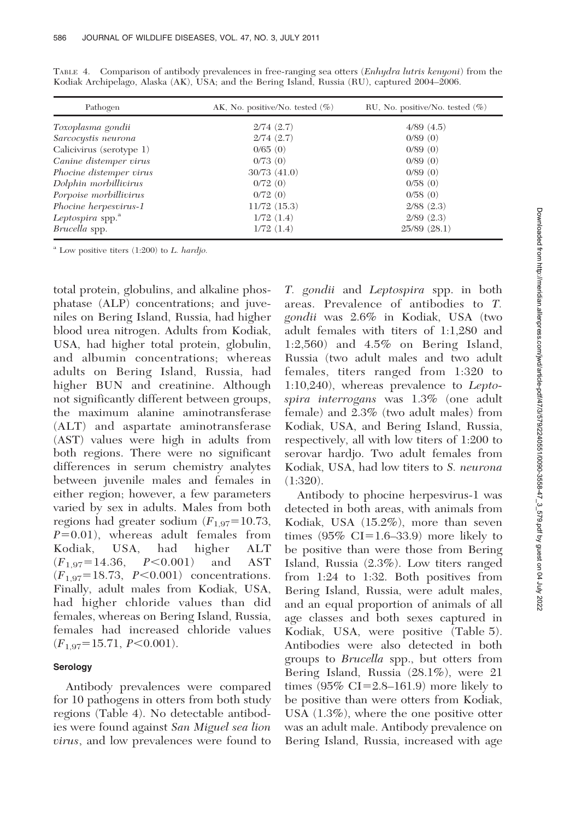| Pathogen                     | AK, No. positive/No. tested $(\%)$ | RU, No. positive/No. tested $(\%)$ |
|------------------------------|------------------------------------|------------------------------------|
| Toxoplasma gondii            | 2/74(2.7)                          | 4/89(4.5)                          |
| Sarcocystis neurona          | 2/74(2.7)                          | 0/89(0)                            |
| Calicivirus (serotype 1)     | 0/65(0)                            | 0/89(0)                            |
| Canine distemper virus       | 0/73(0)                            | 0/89(0)                            |
| Phocine distemper virus      | 30/73(41.0)                        | 0/89(0)                            |
| Dolphin morbillivirus        | 0/72(0)                            | 0/58(0)                            |
| Porpoise morbillivirus       | 0/72(0)                            | 0/58(0)                            |
| Phocine herpesvirus-1        | $11/72$ $(15.3)$                   | $2/88$ $(2.3)$                     |
| Leptospira spp. <sup>a</sup> | 1/72(1.4)                          | $2/89$ $(2.3)$                     |
| Brucella spp.                | 1/72(1.4)                          | $25/89$ $(28.1)$                   |

TABLE 4. Comparison of antibody prevalences in free-ranging sea otters (*Enhydra lutris kenyoni*) from the Kodiak Archipelago, Alaska (AK), USA; and the Bering Island, Russia (RU), captured 2004–2006.

 $^a$  Low positive titers (1:200) to L. hardjo.

total protein, globulins, and alkaline phosphatase (ALP) concentrations; and juveniles on Bering Island, Russia, had higher blood urea nitrogen. Adults from Kodiak, USA, had higher total protein, globulin, and albumin concentrations; whereas adults on Bering Island, Russia, had higher BUN and creatinine. Although not significantly different between groups, the maximum alanine aminotransferase (ALT) and aspartate aminotransferase (AST) values were high in adults from both regions. There were no significant differences in serum chemistry analytes between juvenile males and females in either region; however, a few parameters varied by sex in adults. Males from both regions had greater sodium  $(F_{1,97} = 10.73)$ ,  $P=0.01$ ), whereas adult females from Kodiak, USA, had higher ALT  $(F_{1.97} = 14.36, P < 0.001)$  and AST  $(F_{1.97} = 18.73, P < 0.001)$  concentrations. Finally, adult males from Kodiak, USA, had higher chloride values than did females, whereas on Bering Island, Russia, females had increased chloride values  $(F_{1.97} = 15.71, P \le 0.001).$ 

# Serology

Antibody prevalences were compared for 10 pathogens in otters from both study regions (Table 4). No detectable antibodies were found against San Miguel sea lion virus, and low prevalences were found to

T. gondii and Leptospira spp. in both areas. Prevalence of antibodies to T. gondii was 2.6% in Kodiak, USA (two adult females with titers of 1:1,280 and 1:2,560) and 4.5% on Bering Island, Russia (two adult males and two adult females, titers ranged from 1:320 to 1:10,240), whereas prevalence to Leptospira interrogans was 1.3% (one adult female) and 2.3% (two adult males) from Kodiak, USA, and Bering Island, Russia, respectively, all with low titers of 1:200 to serovar hardjo. Two adult females from Kodiak, USA, had low titers to S. neurona  $(1:320)$ .

Antibody to phocine herpesvirus-1 was detected in both areas, with animals from Kodiak, USA (15.2%), more than seven times  $(95\% \text{ CI} = 1.6-33.9)$  more likely to be positive than were those from Bering Island, Russia (2.3%). Low titers ranged from 1:24 to 1:32. Both positives from Bering Island, Russia, were adult males, and an equal proportion of animals of all age classes and both sexes captured in Kodiak, USA, were positive (Table 5). Antibodies were also detected in both groups to Brucella spp., but otters from Bering Island, Russia (28.1%), were 21 times  $(95\% \text{ CI} = 2.8 - 161.9)$  more likely to be positive than were otters from Kodiak, USA (1.3%), where the one positive otter was an adult male. Antibody prevalence on Bering Island, Russia, increased with age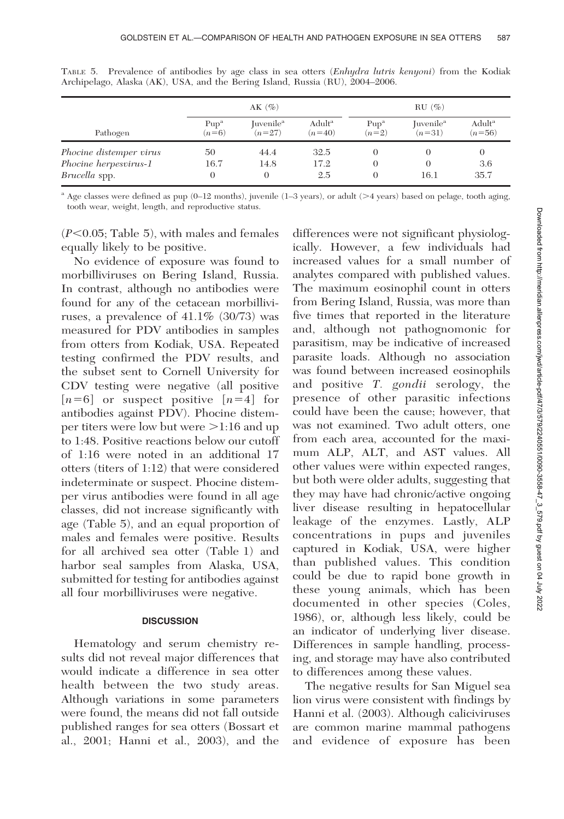|                         |                  | $AK(\%)$              |                    |                  | $RU(\%)$              |                    |
|-------------------------|------------------|-----------------------|--------------------|------------------|-----------------------|--------------------|
| Pathogen                | Pup <sup>a</sup> | Juvenile <sup>a</sup> | Adult <sup>a</sup> | Pup <sup>a</sup> | Juvenile <sup>a</sup> | Adult <sup>a</sup> |
|                         | $(n=6)$          | $(n=27)$              | $(n=40)$           | $(n=2)$          | $(n=31)$              | $(n=56)$           |
| Phocine distemper virus | 50               | 44.4                  | 32.5               |                  |                       | O                  |
| Phocine herpesvirus-1   | 16.7             | 14.8                  | 17.2               | $\Omega$         | 16.1                  | 3.6                |
| Brucella spp.           | 0                | $\Omega$              | 2.5                | $\Omega$         |                       | 35.7               |

TABLE 5. Prevalence of antibodies by age class in sea otters (Enhydra lutris kenyoni) from the Kodiak Archipelago, Alaska (AK), USA, and the Bering Island, Russia (RU), 2004–2006.

<sup>a</sup> Age classes were defined as pup (0–12 months), juvenile (1–3 years), or adult (>4 years) based on pelage, tooth aging, tooth wear, weight, length, and reproductive status.

 $(P<0.05;$  Table 5), with males and females equally likely to be positive.

No evidence of exposure was found to morbilliviruses on Bering Island, Russia. In contrast, although no antibodies were found for any of the cetacean morbilliviruses, a prevalence of 41.1% (30/73) was measured for PDV antibodies in samples from otters from Kodiak, USA. Repeated testing confirmed the PDV results, and the subset sent to Cornell University for CDV testing were negative (all positive  $[n=6]$  or suspect positive  $[n=4]$  for antibodies against PDV). Phocine distemper titers were low but were  $>1:16$  and up to 1:48. Positive reactions below our cutoff of 1:16 were noted in an additional 17 otters (titers of 1:12) that were considered indeterminate or suspect. Phocine distemper virus antibodies were found in all age classes, did not increase significantly with age (Table 5), and an equal proportion of males and females were positive. Results for all archived sea otter (Table 1) and harbor seal samples from Alaska, USA, submitted for testing for antibodies against all four morbilliviruses were negative.

#### **DISCUSSION**

Hematology and serum chemistry results did not reveal major differences that would indicate a difference in sea otter health between the two study areas. Although variations in some parameters were found, the means did not fall outside published ranges for sea otters (Bossart et al., 2001; Hanni et al., 2003), and the

differences were not significant physiologically. However, a few individuals had increased values for a small number of analytes compared with published values. The maximum eosinophil count in otters from Bering Island, Russia, was more than five times that reported in the literature and, although not pathognomonic for parasitism, may be indicative of increased parasite loads. Although no association was found between increased eosinophils and positive T. gondii serology, the presence of other parasitic infections could have been the cause; however, that was not examined. Two adult otters, one from each area, accounted for the maximum ALP, ALT, and AST values. All other values were within expected ranges, but both were older adults, suggesting that they may have had chronic/active ongoing liver disease resulting in hepatocellular leakage of the enzymes. Lastly, ALP concentrations in pups and juveniles captured in Kodiak, USA, were higher than published values. This condition could be due to rapid bone growth in these young animals, which has been documented in other species (Coles, 1986), or, although less likely, could be an indicator of underlying liver disease. Differences in sample handling, processing, and storage may have also contributed to differences among these values.

The negative results for San Miguel sea lion virus were consistent with findings by Hanni et al. (2003). Although caliciviruses are common marine mammal pathogens and evidence of exposure has been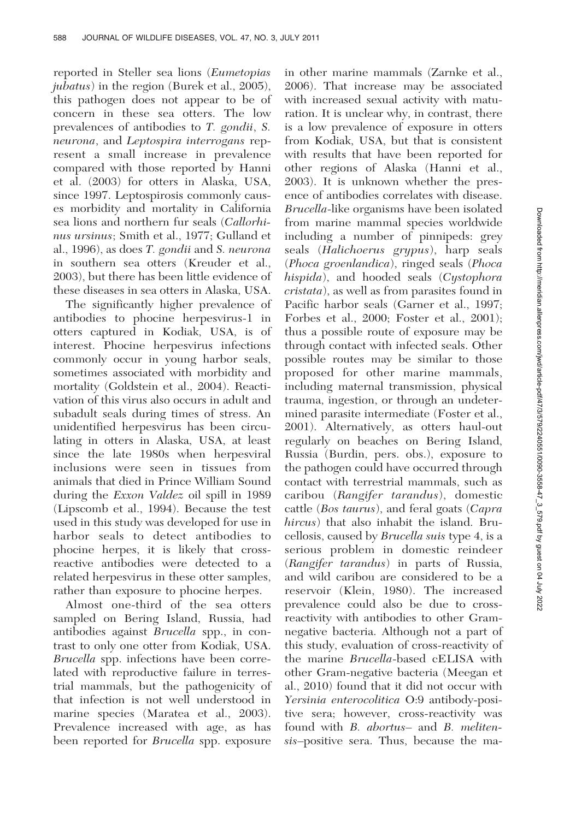reported in Steller sea lions (Eumetopias jubatus) in the region (Burek et al., 2005), this pathogen does not appear to be of concern in these sea otters. The low prevalences of antibodies to T. gondii, S. neurona, and Leptospira interrogans represent a small increase in prevalence compared with those reported by Hanni et al. (2003) for otters in Alaska, USA, since 1997. Leptospirosis commonly causes morbidity and mortality in California sea lions and northern fur seals (Callorhinus ursinus; Smith et al., 1977; Gulland et al., 1996), as does T. gondii and S. neurona in southern sea otters (Kreuder et al., 2003), but there has been little evidence of these diseases in sea otters in Alaska, USA.

The significantly higher prevalence of antibodies to phocine herpesvirus-1 in otters captured in Kodiak, USA, is of interest. Phocine herpesvirus infections commonly occur in young harbor seals, sometimes associated with morbidity and mortality (Goldstein et al., 2004). Reactivation of this virus also occurs in adult and subadult seals during times of stress. An unidentified herpesvirus has been circulating in otters in Alaska, USA, at least since the late 1980s when herpesviral inclusions were seen in tissues from animals that died in Prince William Sound during the Exxon Valdez oil spill in 1989 (Lipscomb et al., 1994). Because the test used in this study was developed for use in harbor seals to detect antibodies to phocine herpes, it is likely that crossreactive antibodies were detected to a related herpesvirus in these otter samples, rather than exposure to phocine herpes.

Almost one-third of the sea otters sampled on Bering Island, Russia, had antibodies against Brucella spp., in contrast to only one otter from Kodiak, USA. Brucella spp. infections have been correlated with reproductive failure in terrestrial mammals, but the pathogenicity of that infection is not well understood in marine species (Maratea et al., 2003). Prevalence increased with age, as has been reported for *Brucella* spp. exposure in other marine mammals (Zarnke et al., 2006). That increase may be associated with increased sexual activity with maturation. It is unclear why, in contrast, there is a low prevalence of exposure in otters from Kodiak, USA, but that is consistent with results that have been reported for other regions of Alaska (Hanni et al., 2003). It is unknown whether the presence of antibodies correlates with disease. Brucella-like organisms have been isolated from marine mammal species worldwide including a number of pinnipeds: grey seals (Halichoerus grypus), harp seals (Phoca groenlandica), ringed seals (Phoca hispida), and hooded seals (Cystophora cristata), as well as from parasites found in Pacific harbor seals (Garner et al., 1997; Forbes et al., 2000; Foster et al., 2001); thus a possible route of exposure may be through contact with infected seals. Other possible routes may be similar to those proposed for other marine mammals, including maternal transmission, physical trauma, ingestion, or through an undetermined parasite intermediate (Foster et al., 2001). Alternatively, as otters haul-out regularly on beaches on Bering Island, Russia (Burdin, pers. obs.), exposure to the pathogen could have occurred through contact with terrestrial mammals, such as caribou (Rangifer tarandus), domestic cattle (Bos taurus), and feral goats (Capra hircus) that also inhabit the island. Brucellosis, caused by Brucella suis type 4, is a serious problem in domestic reindeer (Rangifer tarandus) in parts of Russia, and wild caribou are considered to be a reservoir (Klein, 1980). The increased prevalence could also be due to crossreactivity with antibodies to other Gramnegative bacteria. Although not a part of this study, evaluation of cross-reactivity of the marine Brucella-based cELISA with other Gram-negative bacteria (Meegan et al., 2010) found that it did not occur with Yersinia enterocolitica O:9 antibody-positive sera; however, cross-reactivity was found with B. abortus– and B. melitensis–positive sera. Thus, because the ma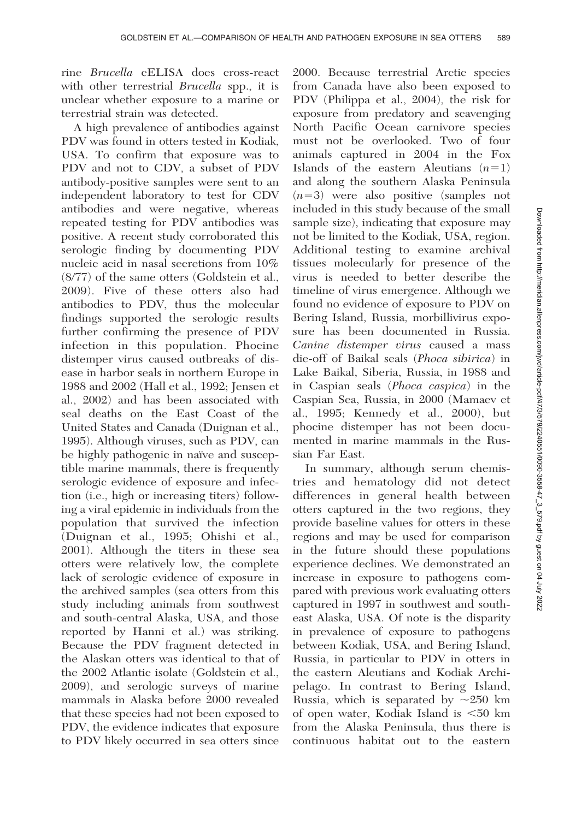rine Brucella cELISA does cross-react with other terrestrial *Brucella* spp., it is unclear whether exposure to a marine or terrestrial strain was detected.

A high prevalence of antibodies against PDV was found in otters tested in Kodiak, USA. To confirm that exposure was to PDV and not to CDV, a subset of PDV antibody-positive samples were sent to an independent laboratory to test for CDV antibodies and were negative, whereas repeated testing for PDV antibodies was positive. A recent study corroborated this serologic finding by documenting PDV nucleic acid in nasal secretions from 10% (8/77) of the same otters (Goldstein et al., 2009). Five of these otters also had antibodies to PDV, thus the molecular findings supported the serologic results further confirming the presence of PDV infection in this population. Phocine distemper virus caused outbreaks of disease in harbor seals in northern Europe in 1988 and 2002 (Hall et al., 1992; Jensen et al., 2002) and has been associated with seal deaths on the East Coast of the United States and Canada (Duignan et al., 1995). Although viruses, such as PDV, can be highly pathogenic in naïve and susceptible marine mammals, there is frequently serologic evidence of exposure and infection (i.e., high or increasing titers) following a viral epidemic in individuals from the population that survived the infection (Duignan et al., 1995; Ohishi et al., 2001). Although the titers in these sea otters were relatively low, the complete lack of serologic evidence of exposure in the archived samples (sea otters from this study including animals from southwest and south-central Alaska, USA, and those reported by Hanni et al.) was striking. Because the PDV fragment detected in the Alaskan otters was identical to that of the 2002 Atlantic isolate (Goldstein et al., 2009), and serologic surveys of marine mammals in Alaska before 2000 revealed that these species had not been exposed to PDV, the evidence indicates that exposure to PDV likely occurred in sea otters since 2000. Because terrestrial Arctic species from Canada have also been exposed to PDV (Philippa et al., 2004), the risk for exposure from predatory and scavenging North Pacific Ocean carnivore species must not be overlooked. Two of four animals captured in 2004 in the Fox Islands of the eastern Aleutians  $(n=1)$ and along the southern Alaska Peninsula  $(n=3)$  were also positive (samples not included in this study because of the small sample size), indicating that exposure may not be limited to the Kodiak, USA, region. Additional testing to examine archival tissues molecularly for presence of the virus is needed to better describe the timeline of virus emergence. Although we found no evidence of exposure to PDV on Bering Island, Russia, morbillivirus exposure has been documented in Russia. Canine distemper virus caused a mass die-off of Baikal seals (Phoca sibirica) in Lake Baikal, Siberia, Russia, in 1988 and in Caspian seals (Phoca caspica) in the Caspian Sea, Russia, in 2000 (Mamaev et al., 1995; Kennedy et al., 2000), but phocine distemper has not been documented in marine mammals in the Russian Far East.

In summary, although serum chemistries and hematology did not detect differences in general health between otters captured in the two regions, they provide baseline values for otters in these regions and may be used for comparison in the future should these populations experience declines. We demonstrated an increase in exposure to pathogens compared with previous work evaluating otters captured in 1997 in southwest and southeast Alaska, USA. Of note is the disparity in prevalence of exposure to pathogens between Kodiak, USA, and Bering Island, Russia, in particular to PDV in otters in the eastern Aleutians and Kodiak Archipelago. In contrast to Bering Island, Russia, which is separated by  $\sim$ 250 km of open water, Kodiak Island is  $<50$  km from the Alaska Peninsula, thus there is continuous habitat out to the eastern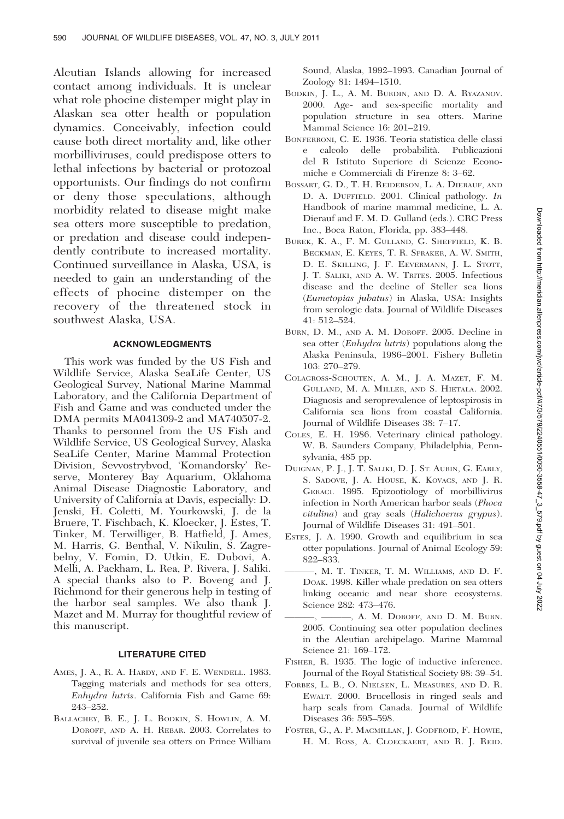Aleutian Islands allowing for increased contact among individuals. It is unclear what role phocine distemper might play in Alaskan sea otter health or population dynamics. Conceivably, infection could cause both direct mortality and, like other morbilliviruses, could predispose otters to lethal infections by bacterial or protozoal opportunists. Our findings do not confirm or deny those speculations, although morbidity related to disease might make sea otters more susceptible to predation, or predation and disease could independently contribute to increased mortality. Continued surveillance in Alaska, USA, is needed to gain an understanding of the effects of phocine distemper on the recovery of the threatened stock in southwest Alaska, USA.

## ACKNOWLEDGMENTS

This work was funded by the US Fish and Wildlife Service, Alaska SeaLife Center, US Geological Survey, National Marine Mammal Laboratory, and the California Department of Fish and Game and was conducted under the DMA permits MA041309-2 and MA740507-2. Thanks to personnel from the US Fish and Wildlife Service, US Geological Survey, Alaska SeaLife Center, Marine Mammal Protection Division, Sevvostrybvod, 'Komandorsky' Reserve, Monterey Bay Aquarium, Oklahoma Animal Disease Diagnostic Laboratory, and University of California at Davis, especially: D. Jenski, H. Coletti, M. Yourkowski, J. de la Bruere, T. Fischbach, K. Kloecker, J. Estes, T. Tinker, M. Terwilliger, B. Hatfield, J. Ames, M. Harris, G. Benthal, V. Nikulin, S. Zagrebelny, V. Fomin, D. Utkin, E. Dubovi, A. Melli, A. Packham, L. Rea, P. Rivera, J. Saliki. A special thanks also to P. Boveng and J. Richmond for their generous help in testing of the harbor seal samples. We also thank J. Mazet and M. Murray for thoughtful review of this manuscript.

#### LITERATURE CITED

- AMES, J. A., R. A. HARDY, AND F. E. WENDELL. 1983. Tagging materials and methods for sea otters, Enhydra lutris. California Fish and Game 69: 243–252.
- BALLACHEY, B. E., J. L. BODKIN, S. HOWLIN, A. M. DOROFF, AND A. H. REBAR. 2003. Correlates to survival of juvenile sea otters on Prince William

Sound, Alaska, 1992–1993. Canadian Journal of Zoology 81: 1494–1510.

- BODKIN, J. L., A. M. BURDIN, AND D. A. RYAZANOV. 2000. Age- and sex-specific mortality and population structure in sea otters. Marine Mammal Science 16: 201–219.
- BONFERRONI, C. E. 1936. Teoria statistica delle classi e calcolo delle probabilità. Publicazioni del R Istituto Superiore di Scienze Economiche e Commerciali di Firenze 8: 3–62.
- BOSSART, G. D., T. H. REIDERSON, L. A. DIERAUF, AND D. A. DUFFIELD. 2001. Clinical pathology. In Handbook of marine mammal medicine, L. A. Dierauf and F. M. D. Gulland (eds.). CRC Press Inc., Boca Raton, Florida, pp. 383–448.
- BUREK, K. A., F. M. GULLAND, G. SHEFFIELD, K. B. BECKMAN, E. KEYES, T. R. SPRAKER, A. W. SMITH, D. E. SKILLING, J. F. EEVERMANN, J. L. STOTT, J. T. SALIKI, AND A. W. TRITES. 2005. Infectious disease and the decline of Steller sea lions (Eumetopias jubatus) in Alaska, USA: Insights from serologic data. Journal of Wildlife Diseases 41: 512–524.
- BURN, D. M., AND A. M. DOROFF. 2005. Decline in sea otter (Enhydra lutris) populations along the Alaska Peninsula, 1986–2001. Fishery Bulletin 103: 270–279.
- COLAGROSS-SCHOUTEN, A. M., J. A. MAZET, F. M. GULLAND, M. A. MILLER, AND S. HIETALA. 2002. Diagnosis and seroprevalence of leptospirosis in California sea lions from coastal California. Journal of Wildlife Diseases 38: 7–17.
- COLES, E. H. 1986. Veterinary clinical pathology. W. B. Saunders Company, Philadelphia, Pennsylvania, 485 pp.
- DUIGNAN, P. J., J. T. SALIKI, D. J. ST. AUBIN, G. EARLY, S. SADOVE, J. A. HOUSE, K. KOVACS, AND J. R. GERACI. 1995. Epizootiology of morbillivirus infection in North American harbor seals (Phoca vitulina) and gray seals (Halichoerus grypus). Journal of Wildlife Diseases 31: 491–501.
- ESTES, J. A. 1990. Growth and equilibrium in sea otter populations. Journal of Animal Ecology 59: 822–833.
- ———, M. T. TINKER, T. M. WILLIAMS, AND D. F. DOAK. 1998. Killer whale predation on sea otters linking oceanic and near shore ecosystems. Science 282: 473–476.
- -, A. M. DOROFF, AND D. M. BURN. 2005. Continuing sea otter population declines in the Aleutian archipelago. Marine Mammal Science 21: 169–172.
- FISHER, R. 1935. The logic of inductive inference. Journal of the Royal Statistical Society 98: 39–54.
- FORBES, L. B., O. NIELSEN, L. MEASURES, AND D. R. EWALT. 2000. Brucellosis in ringed seals and harp seals from Canada. Journal of Wildlife Diseases 36: 595–598.
- FOSTER, G., A. P. MACMILLAN, J. GODFROID, F. HOWIE, H. M. ROSS, A. CLOECKAERT, AND R. J. REID.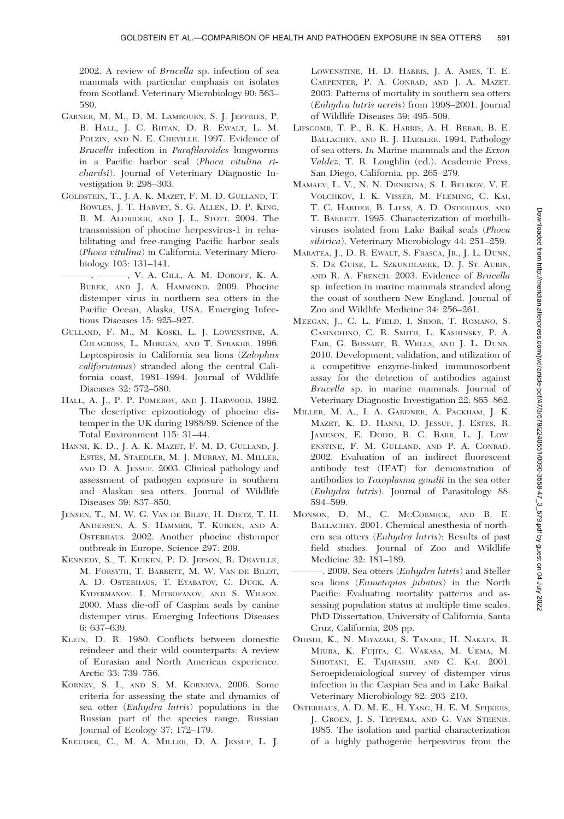2002. A review of Brucella sp. infection of sea mammals with particular emphasis on isolates from Scotland. Veterinary Microbiology 90: 563– 580.

- GARNER, M. M., D. M. LAMBOURN, S. J. JEFFRIES, P. B. HALL, J. C. RHYAN, D. R. EWALT, L. M. POLZIN, AND N. E. CHEVILLE. 1997. Evidence of Brucella infection in Parafilaroides lungworms in a Pacific harbor seal (Phoca vitulina richardsi). Journal of Veterinary Diagnostic Investigation 9: 298–303.
- GOLDSTEIN, T., J. A. K. MAZET, F. M. D. GULLAND, T. ROWLES, J. T. HARVEY, S. G. ALLEN, D. P. KING, B. M. ALDRIDGE, AND J. L. STOTT. 2004. The transmission of phocine herpesvirus-1 in rehabilitating and free-ranging Pacific harbor seals (Phoca vitulina) in California. Veterinary Microbiology 103: 131–141.
	- ———, ———, V. A. GILL, A. M. DOROFF, K. A. BUREK, AND J. A. HAMMOND. 2009. Phocine distemper virus in northern sea otters in the Pacific Ocean, Alaska, USA. Emerging Infectious Diseases 15: 925–927.
- GULLAND, F. M., M. KOSKI, L. J. LOWENSTINE, A. COLAGROSS, L. MORGAN, AND T. SPRAKER. 1996. Leptospirosis in California sea lions (Zalophus californianus) stranded along the central California coast, 1981–1994. Journal of Wildlife Diseases 32: 572–580.
- HALL, A. J., P. P. POMEROY, AND J. HARWOOD. 1992. The descriptive epizootiology of phocine distemper in the UK during 1988/89. Science of the Total Environment 115: 31–44.
- HANNI, K. D., J. A. K. MAZET, F. M. D. GULLAND, J. ESTES, M. STAEDLER, M. J. MURRAY, M. MILLER, AND D. A. JESSUP. 2003. Clinical pathology and assessment of pathogen exposure in southern and Alaskan sea otters. Journal of Wildlife Diseases 39: 837–850.
- JENSEN, T., M. W. G. VAN DE BILDT, H. DIETZ, T. H. ANDERSEN, A. S. HAMMER, T. KUIKEN, AND A. OSTERHAUS. 2002. Another phocine distemper outbreak in Europe. Science 297: 209.
- KENNEDY, S., T. KUIKEN, P. D. JEPSON, R. DEAVILLE, M. FORSYTH, T. BARRETT, M. W. VAN DE BILDT, A. D. OSTERHAUS, T. EYABATOV, C. DUCK, A. KYDYRMANOV, I. MITROFANOV, AND S. WILSON. 2000. Mass die-off of Caspian seals by canine distemper virus. Emerging Infectious Diseases 6: 637–639.
- KLEIN, D. R. 1980. Conflicts between domestic reindeer and their wild counterparts: A review of Eurasian and North American experience. Arctic 33: 739–756.
- KORNEV, S. I., AND S. M. KORNEVA. 2006. Some criteria for assessing the state and dynamics of sea otter (Enhydra lutris) populations in the Russian part of the species range. Russian Journal of Ecology 37: 172–179.
- KREUDER, C., M. A. MILLER, D. A. JESSUP, L. J.

LOWENSTINE, H. D. HARRIS, J. A. AMES, T. E. CARPENTER, P. A. CONRAD, AND J. A. MAZET. 2003. Patterns of mortality in southern sea otters (Enhydra lutris nereis) from 1998–2001. Journal of Wildlife Diseases 39: 495–509.

- LIPSCOMB, T. P., R. K. HARRIS, A. H. REBAR, B. E. BALLACHEY, AND R. J. HAEBLER. 1994. Pathology of sea otters. In Marine mammals and the Exxon Valdez, T. R. Loughlin (ed.). Academic Press, San Diego, California, pp. 265–279.
- MAMAEV, L. V., N. N. DENIKINA, S. I. BELIKOV, V. E. VOLCHKOV, I. K. VISSER, M. FLEMING, C. KAI, T. C. HARDER, B. LIESS, A. D. OSTERHAUS, AND T. BARRETT. 1995. Characterization of morbilliviruses isolated from Lake Baikal seals (Phoca sibirica). Veterinary Microbiology 44: 251–259.
- MARATEA, J., D. R. EWALT, S. FRASCA, JR., J. L. DUNN, S. DE GUISE, L. SZKUNDLAREK, D. J. ST. AUBIN, AND R. A. FRENCH. 2003. Evidence of Brucella sp. infection in marine mammals stranded along the coast of southern New England. Journal of Zoo and Wildlife Medicine 34: 256–261.
- MEEGAN, J., C. L. FIELD, I. SIDOR, T. ROMANO, S. CASINGHINO, C. R. SMITH, L. KASHINSKY, P. A. FAIR, G. BOSSART, R. WELLS, AND J. L. DUNN. 2010. Development, validation, and utilization of a competitive enzyme-linked immunosorbent assay for the detection of antibodies against Brucella sp. in marine mammals. Journal of Veterinary Diagnostic Investigation 22: 865–862.
- MILLER, M. A., I. A. GARDNER, A. PACKHAM, J. K. MAZET, K. D. HANNI, D. JESSUP, J. ESTES, R. JAMESON, E. DODD, B. C. BARR, L. J. LOW-ENSTINE, F. M. GULLAND, AND P. A. CONRAD. 2002. Evaluation of an indirect fluorescent antibody test (IFAT) for demonstration of antibodies to Toxoplasma gondii in the sea otter (Enhydra lutris). Journal of Parasitology 88: 594–599.
- MONSON, D. M., C. MCCORMICK, AND B. E. BALLACHEY. 2001. Chemical anesthesia of northern sea otters (Enhydra lutris): Results of past field studies. Journal of Zoo and Wildlife Medicine 32: 181–189.
- -. 2009. Sea otters (Enhydra lutris) and Steller sea lions (Eumetopias jubatus) in the North Pacific: Evaluating mortality patterns and assessing population status at multiple time scales. PhD Dissertation, University of California, Santa Cruz, California, 208 pp.
- OHISHI, K., N. MIYAZAKI, S. TANABE, H. NAKATA, R. MIURA, K. FUJITA, C. WAKASA, M. UEMA, M. SHIOTANI, E. TAJAHASHI, AND C. KAI. 2001. Seroepidemiological survey of distemper virus infection in the Caspian Sea and in Lake Baikal. Veterinary Microbiology 82: 203–210.
- OSTERHAUS, A. D. M. E., H. YANG, H. E. M. SPIJKERS, J. GROEN, J. S. TEPPEMA, AND G. VAN STEENIS. 1985. The isolation and partial characterization of a highly pathogenic herpesvirus from the